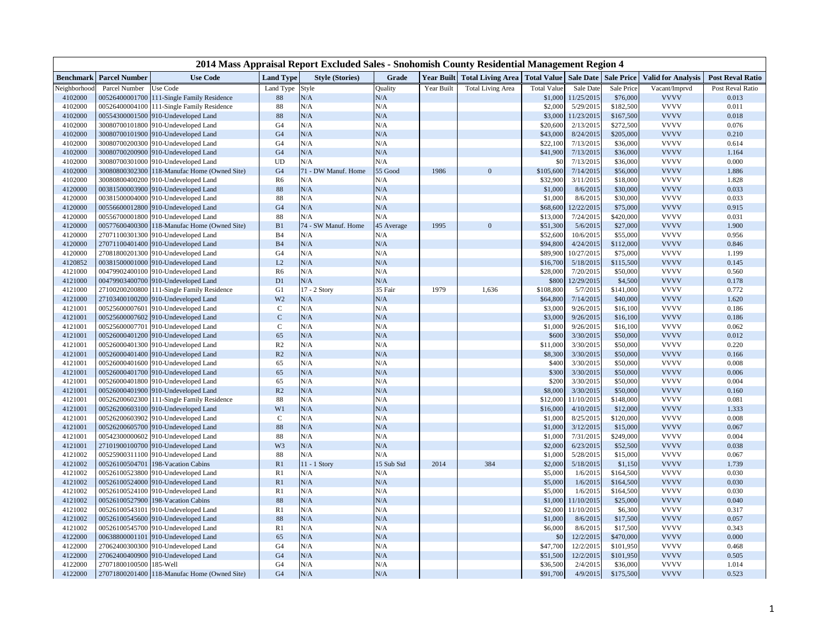|                    | 2014 Mass Appraisal Report Excluded Sales - Snohomish County Residential Management Region 4 |                                                                            |                      |                        |                |            |                                     |                                      |                         |                       |                            |                         |  |  |
|--------------------|----------------------------------------------------------------------------------------------|----------------------------------------------------------------------------|----------------------|------------------------|----------------|------------|-------------------------------------|--------------------------------------|-------------------------|-----------------------|----------------------------|-------------------------|--|--|
| <b>Benchmark</b>   | <b>Parcel Number</b>                                                                         | <b>Use Code</b>                                                            | <b>Land Type</b>     | <b>Style (Stories)</b> | Grade          |            | <b>Year Built Total Living Area</b> | Total Value   Sale Date   Sale Price |                         |                       | <b>Valid for Analysis</b>  | <b>Post Reval Ratio</b> |  |  |
| Veighborhoo        | Parcel Number                                                                                | Use Code                                                                   | Land Type            | Style                  | <b>Quality</b> | Year Built | <b>Total Living Area</b>            | <b>Total Value</b>                   | Sale Date               | Sale Price            | Vacant/Imprvd              | Post Reval Ratio        |  |  |
| 4102000            |                                                                                              | 00526400001700 111-Single Family Residence                                 | 88                   | N/A                    | N/A            |            |                                     | \$1,000                              | 11/25/2015              | \$76,000              | <b>VVVV</b>                | 0.013                   |  |  |
| 4102000            |                                                                                              | 00526400004100 111-Single Family Residence                                 | 88                   | N/A                    | N/A            |            |                                     | \$2,000                              | 5/29/2015               | \$182,500             | <b>VVVV</b>                | 0.011                   |  |  |
| 4102000            |                                                                                              | 00554300001500 910-Undeveloped Land                                        | 88                   | N/A                    | N/A            |            |                                     | \$3,000                              | 11/23/2015              | \$167,500             | <b>VVVV</b>                | 0.018                   |  |  |
| 4102000            |                                                                                              | 30080700101800 910-Undeveloped Land                                        | G4                   | N/A                    | N/A            |            |                                     | \$20,600                             | 2/13/2015               | \$272,500             | <b>VVVV</b>                | 0.076                   |  |  |
| 4102000            |                                                                                              | 30080700101900 910-Undeveloped Land                                        | G4                   | N/A                    | N/A            |            |                                     | \$43,000                             | 8/24/2015               | \$205,000             | <b>VVVV</b>                | 0.210                   |  |  |
| 4102000            |                                                                                              | 30080700200300 910-Undeveloped Land                                        | G <sub>4</sub>       | N/A                    | N/A            |            |                                     | \$22,100                             | 7/13/2015               | \$36,000              | <b>VVVV</b>                | 0.614                   |  |  |
| 4102000            |                                                                                              | 30080700200900 910-Undeveloped Land                                        | G <sub>4</sub>       | N/A                    | N/A            |            |                                     | \$41,900                             | 7/13/2015               | \$36,000              | <b>VVVV</b>                | 1.164                   |  |  |
| 4102000            |                                                                                              | 30080700301000 910-Undeveloped Land                                        | <b>UD</b>            | N/A                    | N/A            |            |                                     | $$^{<}$                              | 7/13/2015               | \$36,000              | <b>VVVV</b>                | 0.000                   |  |  |
| 4102000            |                                                                                              | 30080800302300 118-Manufac Home (Owned Site)                               | G4                   | 71 - DW Manuf. Home    | 55 Good        | 1986       | $\Omega$                            | \$105,600                            | 7/14/2015               | \$56,000              | <b>VVVV</b>                | 1.886                   |  |  |
| 4102000            |                                                                                              | 30080800400200 910-Undeveloped Land                                        | R6                   | N/A                    | N/A            |            |                                     | \$32,900                             | 3/11/2015               | \$18,000              | <b>VVVV</b>                | 1.828                   |  |  |
| 4120000            |                                                                                              | 00381500003900 910-Undeveloped Land                                        | 88                   | N/A                    | N/A            |            |                                     | \$1,000                              | 8/6/2015                | \$30,000              | <b>VVVV</b>                | 0.033                   |  |  |
| 4120000            |                                                                                              | 00381500004000 910-Undeveloped Land                                        | 88                   | N/A                    | N/A            |            |                                     | \$1,000                              | 8/6/2015                | \$30,000              | <b>VVVV</b>                | 0.033                   |  |  |
| 4120000            |                                                                                              | 00556600012800 910-Undeveloped Land                                        | G4                   | N/A                    | N/A            |            |                                     | \$68,600                             | 12/22/2015              | \$75,000              | <b>VVVV</b>                | 0.915                   |  |  |
| 4120000            |                                                                                              | 00556700001800 910-Undeveloped Land                                        | 88                   | N/A                    | N/A            |            |                                     | \$13,000                             | 7/24/2015               | \$420,000             | <b>VVVV</b>                | 0.031                   |  |  |
| 4120000            |                                                                                              | 00577600400300 118-Manufac Home (Owned Site)                               | B1<br>B <sub>4</sub> | 74 - SW Manuf. Home    | 45 Average     | 1995       | $\Omega$                            | \$51,300                             | 5/6/2015                | \$27,000              | <b>VVVV</b><br><b>VVVV</b> | 1.900                   |  |  |
| 4120000<br>4120000 |                                                                                              | 27071100301300 910-Undeveloped Land                                        | B <sub>4</sub>       | N/A<br>N/A             | N/A<br>N/A     |            |                                     | \$52,600                             | 10/6/2015               | \$55,000              | <b>VVVV</b>                | 0.956<br>0.846          |  |  |
| 4120000            |                                                                                              | 27071100401400 910-Undeveloped Land<br>27081800201300 910-Undeveloped Land | G <sub>4</sub>       | N/A                    | N/A            |            |                                     | \$94,800<br>\$89,900                 | 4/24/2015<br>10/27/2015 | \$112,000<br>\$75,000 | <b>VVVV</b>                | 1.199                   |  |  |
| 4120852            |                                                                                              | 00381500001000 910-Undeveloped Land                                        | L2                   | N/A                    | N/A            |            |                                     |                                      | 5/18/2015               | \$115,500             | <b>VVVV</b>                | 0.145                   |  |  |
| 4121000            |                                                                                              | 00479902400100 910-Undeveloped Land                                        | R <sub>6</sub>       | N/A                    | N/A            |            |                                     | \$16,700<br>\$28,000                 | 7/20/2015               | \$50,000              | <b>VVVV</b>                | 0.560                   |  |  |
| 4121000            |                                                                                              | 00479903400700 910-Undeveloped Land                                        | D1                   | N/A                    | N/A            |            |                                     | \$800                                | 12/29/2015              |                       | <b>VVVV</b>                | 0.178                   |  |  |
| 4121000            |                                                                                              | 27100200200800 111-Single Family Residence                                 | G1                   | 17 - 2 Story           | 35 Fair        | 1979       | 1,636                               | \$108,800                            | 5/7/2015                | \$4,500<br>\$141,000  | <b>VVVV</b>                | 0.772                   |  |  |
| 4121000            |                                                                                              | 27103400100200 910-Undeveloped Land                                        | W <sub>2</sub>       | N/A                    | N/A            |            |                                     | \$64,800                             | 7/14/2015               | \$40,000              | <b>VVVV</b>                | 1.620                   |  |  |
| 4121001            |                                                                                              | 00525600007601 910-Undeveloped Land                                        | $\mathsf{C}$         | N/A                    | N/A            |            |                                     | \$3,000                              | 9/26/2015               | \$16,100              | <b>VVVV</b>                | 0.186                   |  |  |
| 4121001            |                                                                                              | 00525600007602 910-Undeveloped Land                                        | $\mathbf C$          | N/A                    | N/A            |            |                                     | \$3,000                              | 9/26/2015               | \$16,100              | <b>VVVV</b>                | 0.186                   |  |  |
| 4121001            |                                                                                              | 00525600007701 910-Undeveloped Land                                        | $\mathcal{C}$        | N/A                    | N/A            |            |                                     | \$1,000                              | 9/26/2015               | \$16,100              | <b>VVVV</b>                | 0.062                   |  |  |
| 4121001            |                                                                                              | 00526000401200 910-Undeveloped Land                                        | 65                   | N/A                    | N/A            |            |                                     | \$600                                | 3/30/2015               | \$50,000              | <b>VVVV</b>                | 0.012                   |  |  |
| 4121001            |                                                                                              | 00526000401300 910-Undeveloped Land                                        | R2                   | N/A                    | N/A            |            |                                     | \$11,000                             | 3/30/2015               | \$50,000              | <b>VVVV</b>                | 0.220                   |  |  |
| 4121001            |                                                                                              | 00526000401400 910-Undeveloped Land                                        | R2                   | N/A                    | N/A            |            |                                     | \$8,300                              | 3/30/2015               | \$50,000              | <b>VVVV</b>                | 0.166                   |  |  |
| 4121001            |                                                                                              | 00526000401600 910-Undeveloped Land                                        | 65                   | N/A                    | N/A            |            |                                     | \$400                                | 3/30/2015               | \$50,000              | <b>VVVV</b>                | 0.008                   |  |  |
| 4121001            |                                                                                              | 00526000401700 910-Undeveloped Land                                        | 65                   | N/A                    | N/A            |            |                                     | \$300                                | 3/30/2015               | \$50,000              | <b>VVVV</b>                | 0.006                   |  |  |
| 4121001            |                                                                                              | 00526000401800 910-Undeveloped Land                                        | 65                   | N/A                    | N/A            |            |                                     | \$200                                | 3/30/2015               | \$50,000              | <b>VVVV</b>                | 0.004                   |  |  |
| 4121001            |                                                                                              | 00526000401900 910-Undeveloped Land                                        | R2                   | N/A                    | N/A            |            |                                     | \$8,000                              | 3/30/2015               | \$50,000              | <b>VVVV</b>                | 0.160                   |  |  |
| 4121001            |                                                                                              | 00526200602300 111-Single Family Residence                                 | 88                   | N/A                    | N/A            |            |                                     | \$12,000                             | 11/10/2015              | \$148,000             | <b>VVVV</b>                | 0.081                   |  |  |
| 4121001            |                                                                                              | 00526200603100 910-Undeveloped Land                                        | W1                   | N/A                    | N/A            |            |                                     | \$16,000                             | 4/10/2015               | \$12,000              | <b>VVVV</b>                | 1.333                   |  |  |
| 4121001            |                                                                                              | 00526200603902 910-Undeveloped Land                                        | $\mathsf{C}$         | N/A                    | N/A            |            |                                     | \$1,000                              | 8/25/2015               | \$120,000             | <b>VVVV</b>                | 0.008                   |  |  |
| 4121001            |                                                                                              | 00526200605700 910-Undeveloped Land                                        | 88                   | N/A                    | N/A            |            |                                     | \$1,000                              | 3/12/2015               | \$15,000              | <b>VVVV</b>                | 0.067                   |  |  |
| 4121001            |                                                                                              | 00542300000602 910-Undeveloped Land                                        | 88                   | N/A                    | N/A            |            |                                     | \$1,000                              | 7/31/2015               | \$249,000             | <b>VVVV</b>                | 0.004                   |  |  |
| 4121001            |                                                                                              | 27101900100700 910-Undeveloped Land                                        | W3                   | N/A                    | N/A            |            |                                     | \$2,000                              | 6/23/2015               | \$52,500              | <b>VVVV</b>                | 0.038                   |  |  |
| 4121002            |                                                                                              | 00525900311100 910-Undeveloped Land                                        | 88                   | N/A                    | N/A            |            |                                     | \$1,000                              | 5/28/2015               | \$15,000              | <b>VVVV</b>                | 0.067                   |  |  |
| 4121002            | 00526100504701                                                                               | 198-Vacation Cabins                                                        | R1                   | 11 - 1 Story           | 15 Sub Std     | 2014       | 384                                 | \$2,000                              | 5/18/2015               | \$1,150               | <b>VVVV</b>                | 1.739                   |  |  |
| 4121002            |                                                                                              | 00526100523800 910-Undeveloped Land                                        | R1                   | N/A                    | N/A            |            |                                     | \$5,000                              | 1/6/2015                | \$164,500             | <b>VVVV</b>                | 0.030                   |  |  |
| 4121002            |                                                                                              | 00526100524000 910-Undeveloped Land                                        | R1                   | N/A                    | N/A            |            |                                     | \$5,000                              | 1/6/2015                | \$164,500             | <b>VVVV</b>                | 0.030                   |  |  |
| 4121002            |                                                                                              | 00526100524100 910-Undeveloped Land                                        | R1                   | N/A                    | N/A            |            |                                     | \$5,000                              | 1/6/2015                | \$164,500             | <b>VVVV</b>                | 0.030                   |  |  |
| 4121002            |                                                                                              | 00526100527900 198-Vacation Cabins                                         | 88                   | N/A                    | N/A            |            |                                     | \$1,000                              | 11/10/2015              | \$25,000              | <b>VVVV</b>                | 0.040                   |  |  |
| 4121002            | 00526100543101                                                                               | 910-Undeveloped Land                                                       | R1                   | N/A                    | N/A            |            |                                     | \$2,000                              | 11/10/2015              | \$6,300               | <b>VVVV</b>                | 0.317                   |  |  |
| 4121002            |                                                                                              | 00526100545600 910-Undeveloped Land                                        | 88                   | N/A                    | N/A            |            |                                     | \$1,000                              | 8/6/2015                | \$17,500              | <b>VVVV</b>                | 0.057                   |  |  |
| 4121002            |                                                                                              | 00526100545700 910-Undeveloped Land                                        | R1                   | N/A                    | N/A            |            |                                     | \$6,000                              | 8/6/2015                | \$17,500              | <b>VVVV</b>                | 0.343                   |  |  |
| 4122000            | 00638800001101                                                                               | 910-Undeveloped Land                                                       | 65                   | N/A                    | N/A            |            |                                     | \$0                                  | 12/2/2015               | \$470,000             | <b>VVVV</b>                | 0.000                   |  |  |
| 4122000            |                                                                                              | 27062400300300 910-Undeveloped Land                                        | G <sub>4</sub>       | N/A                    | N/A            |            |                                     | \$47,700                             | 12/2/2015               | \$101,950             | <b>VVVV</b>                | 0.468                   |  |  |
| 4122000            |                                                                                              | 27062400400900 910-Undeveloped Land                                        | G4                   | N/A                    | N/A            |            |                                     | \$51,500                             | 12/2/2015               | \$101,950             | <b>VVVV</b>                | 0.505                   |  |  |
| 4122000            | 27071800100500 185-Well                                                                      |                                                                            | G4                   | N/A                    | N/A            |            |                                     | \$36,500                             | 2/4/2015                | \$36,000              | <b>VVVV</b>                | 1.014                   |  |  |
| 4122000            |                                                                                              | 27071800201400 118-Manufac Home (Owned Site)                               | G <sub>4</sub>       | N/A                    | N/A            |            |                                     | \$91,700                             | 4/9/2015                | \$175,500             | <b>VVVV</b>                | 0.523                   |  |  |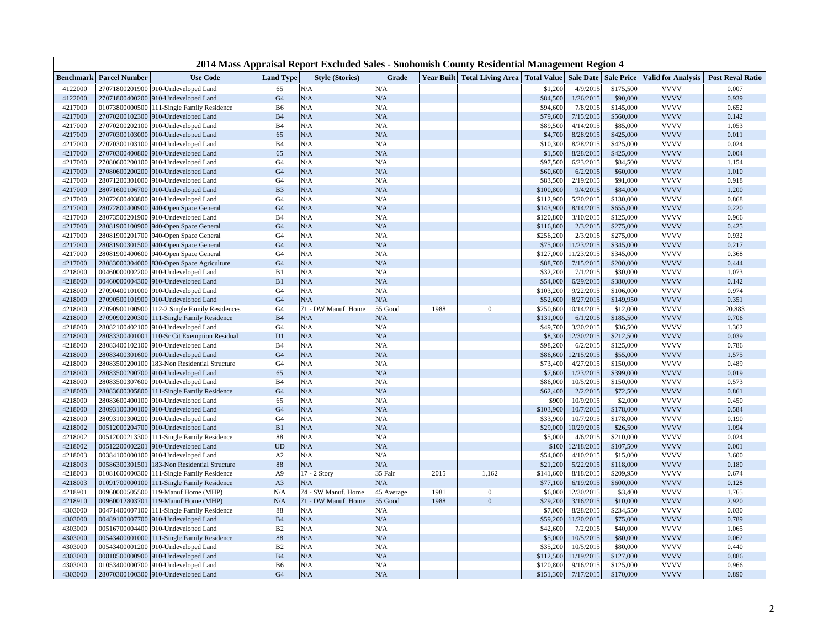|                  | 2014 Mass Appraisal Report Excluded Sales - Snohomish County Residential Management Region 4 |                                            |                  |                        |            |      |                                                                       |           |            |           |                           |                         |  |  |
|------------------|----------------------------------------------------------------------------------------------|--------------------------------------------|------------------|------------------------|------------|------|-----------------------------------------------------------------------|-----------|------------|-----------|---------------------------|-------------------------|--|--|
| <b>Benchmark</b> | <b>Parcel Number</b>                                                                         | <b>Use Code</b>                            | <b>Land Type</b> | <b>Style (Stories)</b> | Grade      |      | Year Built   Total Living Area   Total Value   Sale Date   Sale Price |           |            |           | <b>Valid for Analysis</b> | <b>Post Reval Ratio</b> |  |  |
| 4122000          |                                                                                              | 27071800201900 910-Undeveloped Land        | 65               | N/A                    | N/A        |      |                                                                       | \$1,200   | 4/9/2015   | \$175,500 | <b>VVVV</b>               | 0.007                   |  |  |
| 4122000          |                                                                                              | 27071800400200 910-Undeveloped Land        | G <sub>4</sub>   | N/A                    | $\rm N/A$  |      |                                                                       | \$84,500  | 1/26/2015  | \$90,000  | <b>VVVV</b>               | 0.939                   |  |  |
| 4217000          |                                                                                              | 01073800000500 111-Single Family Residence | <b>B6</b>        | N/A                    | N/A        |      |                                                                       | \$94,600  | 7/8/2015   | \$145,000 | <b>VVVV</b>               | 0.652                   |  |  |
| 4217000          |                                                                                              | 27070200102300 910-Undeveloped Land        | <b>B4</b>        | N/A                    | N/A        |      |                                                                       | \$79,600  | 7/15/2015  | \$560,000 | <b>VVVV</b>               | 0.142                   |  |  |
| 4217000          | 27070200202100                                                                               | 910-Undeveloped Land                       | B <sub>4</sub>   | N/A                    | N/A        |      |                                                                       | \$89,500  | 4/14/2015  | \$85,000  | <b>VVVV</b>               | 1.053                   |  |  |
| 4217000          |                                                                                              | 27070300103000 910-Undeveloped Land        | 65               | N/A                    | N/A        |      |                                                                       | \$4,700   | 8/28/2015  | \$425,000 | <b>VVVV</b>               | 0.011                   |  |  |
| 4217000          |                                                                                              | 27070300103100 910-Undeveloped Land        | B <sub>4</sub>   | N/A                    | N/A        |      |                                                                       | \$10,300  | 8/28/2015  | \$425,000 | <b>VVVV</b>               | 0.024                   |  |  |
| 4217000          |                                                                                              | 27070300400800 910-Undeveloped Land        | 65               | N/A                    | N/A        |      |                                                                       | \$1,500   | 8/28/2015  | \$425,000 | <b>VVVV</b>               | 0.004                   |  |  |
| 4217000          |                                                                                              | 27080600200100 910-Undeveloped Land        | G4               | N/A                    | N/A        |      |                                                                       | \$97,500  | 6/23/2015  | \$84,500  | <b>VVVV</b>               | 1.154                   |  |  |
| 4217000          |                                                                                              | 27080600200200 910-Undeveloped Land        | G <sub>4</sub>   | N/A                    | N/A        |      |                                                                       | \$60,600  | 6/2/2015   | \$60,000  | <b>VVVV</b>               | 1.010                   |  |  |
| 4217000          |                                                                                              | 28071200301000 910-Undeveloped Land        | G4               | N/A                    | N/A        |      |                                                                       | \$83,500  | 2/19/2015  | \$91,000  | <b>VVVV</b>               | 0.918                   |  |  |
| 4217000          |                                                                                              | 28071600106700 910-Undeveloped Land        | B <sub>3</sub>   | N/A                    | N/A        |      |                                                                       | \$100,800 | 9/4/2015   | \$84,000  | <b>VVVV</b>               | 1.200                   |  |  |
| 4217000          | 28072600403800                                                                               | 910-Undeveloped Land                       | G <sub>4</sub>   | N/A                    | N/A        |      |                                                                       | \$112,900 | 5/20/2015  | \$130,000 | <b>VVVV</b>               | 0.868                   |  |  |
| 4217000          |                                                                                              | 28072800400900 940-Open Space General      | G <sub>4</sub>   | N/A                    | N/A        |      |                                                                       | \$143,900 | 8/14/2015  | \$655,000 | <b>VVVV</b>               | 0.220                   |  |  |
| 4217000          |                                                                                              | 28073500201900 910-Undeveloped Land        | <b>B4</b>        | N/A                    | N/A        |      |                                                                       | \$120,800 | 3/10/2015  | \$125,000 | <b>VVVV</b>               | 0.966                   |  |  |
| 4217000          | 28081900100900                                                                               | 940-Open Space General                     | G <sub>4</sub>   | N/A                    | $\rm N/A$  |      |                                                                       | \$116,800 | 2/3/2015   | \$275,000 | <b>VVVV</b>               | 0.425                   |  |  |
| 4217000          | 28081900201700                                                                               | 940-Open Space General                     | G <sub>4</sub>   | N/A                    | N/A        |      |                                                                       | \$256,200 | 2/3/2015   | \$275,000 | <b>VVVV</b>               | 0.932                   |  |  |
| 4217000          | 28081900301500                                                                               | 940-Open Space General                     | G <sub>4</sub>   | N/A                    | $\rm N/A$  |      |                                                                       | \$75,000  | 11/23/2015 | \$345,000 | <b>VVVV</b>               | 0.217                   |  |  |
| 4217000          | 28081900400600                                                                               | 940-Open Space General                     | G <sub>4</sub>   | N/A                    | N/A        |      |                                                                       | \$127,000 | 11/23/2015 | \$345,000 | <b>VVVV</b>               | 0.368                   |  |  |
| 4217000          |                                                                                              | 28083000304000 830-Open Space Agriculture  | G <sub>4</sub>   | N/A                    | N/A        |      |                                                                       | \$88,700  | 7/15/2015  | \$200,000 | <b>VVVV</b>               | 0.444                   |  |  |
| 4218000          | 00460000002200                                                                               | 910-Undeveloped Land                       | B1               | N/A                    | N/A        |      |                                                                       | \$32,200  | 7/1/2015   | \$30,000  | <b>VVVV</b>               | 1.073                   |  |  |
| 4218000          |                                                                                              | 00460000004300 910-Undeveloped Land        | B1               | N/A                    | $\rm N/A$  |      |                                                                       | \$54,000  | 6/29/2015  | \$380,000 | <b>VVVV</b>               | 0.142                   |  |  |
| 4218000          |                                                                                              | 27090400101000 910-Undeveloped Land        | G <sub>4</sub>   | $\rm N/A$              | N/A        |      |                                                                       | \$103,200 | 9/22/2015  | \$106,000 | <b>VVVV</b>               | 0.974                   |  |  |
| 4218000          |                                                                                              | 27090500101900 910-Undeveloped Land        | G <sub>4</sub>   | N/A                    | N/A        |      |                                                                       | \$52,600  | 8/27/2015  | \$149,950 | <b>VVVV</b>               | 0.351                   |  |  |
| 4218000          | 27090900100900                                                                               | 112-2 Single Family Residences             | G <sub>4</sub>   | 71 - DW Manuf. Home    | 55 Good    | 1988 | $\theta$                                                              | \$250,600 | 10/14/2015 | \$12,000  | <b>VVVV</b>               | 20.883                  |  |  |
| 4218000          | 27090900200300                                                                               | 111-Single Family Residence                | B <sub>4</sub>   | N/A                    | N/A        |      |                                                                       | \$131,000 | 6/1/2015   | \$185,500 | <b>VVVV</b>               | 0.706                   |  |  |
| 4218000          | 28082100402100                                                                               | 910-Undeveloped Land                       | G <sub>4</sub>   | N/A                    | N/A        |      |                                                                       | \$49,700  | 3/30/2015  | \$36,500  | <b>VVVV</b>               | 1.362                   |  |  |
| 4218000          | 28083300401001                                                                               | 110-Sr Cit Exemption Residual              | D1               | N/A                    | N/A        |      |                                                                       | \$8,300   | 12/30/2015 | \$212,500 | <b>VVVV</b>               | 0.039                   |  |  |
| 4218000          | 28083400102100                                                                               | 910-Undeveloped Land                       | B <sub>4</sub>   | N/A                    | N/A        |      |                                                                       | \$98,200  | 6/2/2015   | \$125,000 | <b>VVVV</b>               | 0.786                   |  |  |
| 4218000          |                                                                                              | 28083400301600 910-Undeveloped Land        | G <sub>4</sub>   | N/A                    | N/A        |      |                                                                       | \$86,600  | 12/15/2015 | \$55,000  | <b>VVVV</b>               | 1.575                   |  |  |
| 4218000          | 28083500200100                                                                               | 183-Non Residential Structure              | G <sub>4</sub>   | N/A                    | N/A        |      |                                                                       | \$73,400  | 4/27/2015  | \$150,000 | <b>VVVV</b>               | 0.489                   |  |  |
| 4218000          | 28083500200700                                                                               | 910-Undeveloped Land                       | 65               | N/A                    | $\rm N/A$  |      |                                                                       | \$7,600   | 1/23/2015  | \$399,000 | <b>VVVV</b>               | 0.019                   |  |  |
| 4218000          |                                                                                              | 28083500307600 910-Undeveloped Land        | B <sub>4</sub>   | N/A                    | N/A        |      |                                                                       | \$86,000  | 10/5/2015  | \$150,000 | <b>VVVV</b>               | 0.573                   |  |  |
| 4218000          | 28083600305800                                                                               | 111-Single Family Residence                | G <sub>4</sub>   | N/A                    | N/A        |      |                                                                       | \$62,400  | 2/2/2015   | \$72,500  | <b>VVVV</b>               | 0.861                   |  |  |
| 4218000          | 28083600400100                                                                               | 910-Undeveloped Land                       | 65               | N/A                    | N/A        |      |                                                                       | \$900     | 10/9/2015  | \$2,000   | <b>VVVV</b>               | 0.450                   |  |  |
| 4218000          |                                                                                              | 28093100300100 910-Undeveloped Land        | G <sub>4</sub>   | N/A                    | N/A        |      |                                                                       | \$103,900 | 10/7/2015  | \$178,000 | <b>VVVV</b>               | 0.584                   |  |  |
| 4218000          |                                                                                              | 28093100300200 910-Undeveloped Land        | G <sub>4</sub>   | N/A                    | N/A        |      |                                                                       | \$33,900  | 10/7/2015  | \$178,000 | <b>VVVV</b>               | 0.190                   |  |  |
| 4218002          |                                                                                              | 00512000204700 910-Undeveloped Land        | B1               | N/A                    | $\rm N/A$  |      |                                                                       | \$29,000  | 10/29/2015 | \$26,500  | <b>VVVV</b>               | 1.094                   |  |  |
| 4218002          | 00512000213300                                                                               | 111-Single Family Residence                | 88               | N/A                    | N/A        |      |                                                                       | \$5,000   | 4/6/2015   | \$210,000 | <b>VVVV</b>               | 0.024                   |  |  |
| 4218002          |                                                                                              | 00512200002201 910-Undeveloped Land        | <b>UD</b>        | N/A                    | $\rm N/A$  |      |                                                                       | \$100     | 12/18/2015 | \$107,500 | <b>VVVV</b>               | 0.001                   |  |  |
| 4218003          | 00384100000100                                                                               | 910-Undeveloped Land                       | A2               | $\rm N/A$              | N/A        |      |                                                                       | \$54,000  | 4/10/2015  | \$15,000  | <b>VVVV</b>               | 3.600                   |  |  |
| 4218003          | 00586300301501                                                                               | 183-Non Residential Structure              | 88               | N/A                    | N/A        |      |                                                                       | \$21,200  | 5/22/2015  | \$118,000 | <b>VVVV</b>               | 0.180                   |  |  |
| 4218003          | 01081600000300                                                                               | 111-Single Family Residence                | A <sub>9</sub>   | 17 - 2 Story           | 35 Fair    | 2015 | 1,162                                                                 | \$141,600 | 8/18/2015  | \$209,950 | <b>VVVV</b>               | 0.674                   |  |  |
| 4218003          | 01091700000100                                                                               | 111-Single Family Residence                | A <sub>3</sub>   | N/A                    | N/A        |      |                                                                       | \$77,100  | 6/19/2015  | \$600,000 | <b>VVVV</b>               | 0.128                   |  |  |
| 4218901          | 00960000505500                                                                               | 119-Manuf Home (MHP)                       | N/A              | 74 - SW Manuf. Home    | 45 Average | 1981 | $\mathbf{0}$                                                          | \$6,000   | 12/30/2015 | \$3,400   | <b>VVVV</b>               | 1.765                   |  |  |
| 4218910          | 00960012803701                                                                               | 119-Manuf Home (MHP)                       | N/A              | 71 - DW Manuf. Home    | 55 Good    | 1988 | $\Omega$                                                              | \$29,200  | 3/16/2015  | \$10,000  | <b>VVVV</b>               | 2.920                   |  |  |
| 4303000          | 00471400007100                                                                               | 111-Single Family Residence                | 88               | N/A                    | N/A        |      |                                                                       | \$7,000   | 8/28/2015  | \$234,550 | <b>VVVV</b>               | 0.030                   |  |  |
| 4303000          | 00489100007700                                                                               | 910-Undeveloped Land                       | <b>B4</b>        | N/A                    | N/A        |      |                                                                       | \$59,200  | 11/20/2015 | \$75,000  | <b>VVVV</b>               | 0.789                   |  |  |
| 4303000          | 00516700004400                                                                               | 910-Undeveloped Land                       | B <sub>2</sub>   | N/A                    | N/A        |      |                                                                       | \$42,600  | 7/2/2015   | \$40,000  | <b>VVVV</b>               | 1.065                   |  |  |
| 4303000          |                                                                                              | 00543400001000 111-Single Family Residence | 88               | N/A                    | $\rm N/A$  |      |                                                                       | \$5,000   | 10/5/2015  | \$80,000  | <b>VVVV</b>               | 0.062                   |  |  |
| 4303000          | 00543400001200                                                                               | 910-Undeveloped Land                       | B <sub>2</sub>   | N/A                    | N/A        |      |                                                                       | \$35,200  | 10/5/2015  | \$80,000  | <b>VVVV</b>               | 0.440                   |  |  |
| 4303000          | 00818500000900                                                                               | 910-Undeveloped Land                       | <b>B4</b>        | N/A                    | N/A        |      |                                                                       | \$112,500 | 11/19/2015 | \$127,000 | <b>VVVV</b>               | 0.886                   |  |  |
| 4303000          |                                                                                              | 01053400000700 910-Undeveloped Land        | <b>B6</b>        | N/A                    | N/A        |      |                                                                       | \$120,800 | 9/16/2015  | \$125,000 | <b>VVVV</b>               | 0.966                   |  |  |
| 4303000          |                                                                                              | 28070300100300 910-Undeveloped Land        | G <sub>4</sub>   | N/A                    | N/A        |      |                                                                       | \$151,300 | 7/17/2015  | \$170,000 | <b>VVVV</b>               | 0.890                   |  |  |
|                  |                                                                                              |                                            |                  |                        |            |      |                                                                       |           |            |           |                           |                         |  |  |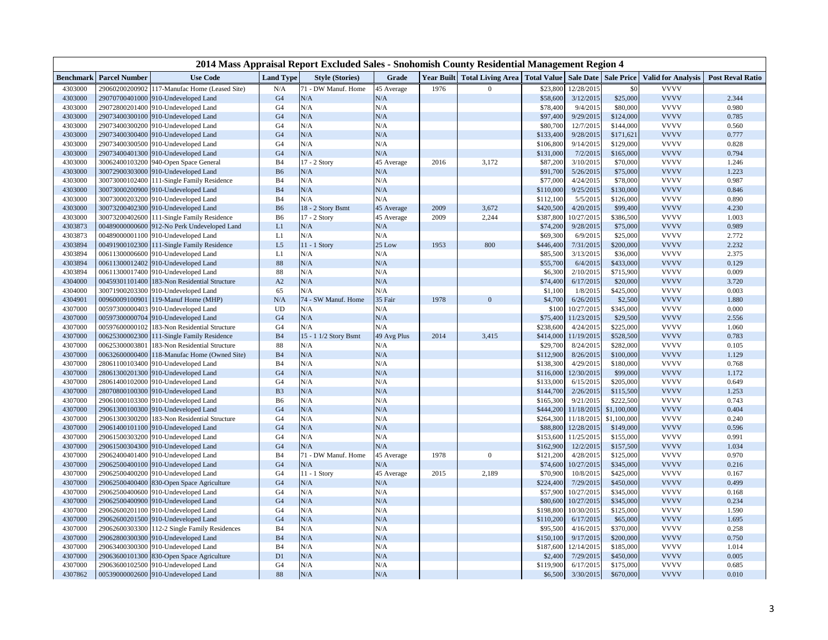|                  |                      |                                            |                  | 2014 Mass Appraisal Report Excluded Sales - Snohomish County Residential Management Region 4 |             |      |                                                          |           |            |                   |                           |                         |
|------------------|----------------------|--------------------------------------------|------------------|----------------------------------------------------------------------------------------------|-------------|------|----------------------------------------------------------|-----------|------------|-------------------|---------------------------|-------------------------|
| <b>Benchmark</b> | <b>Parcel Number</b> | <b>Use Code</b>                            | <b>Land Type</b> | <b>Style (Stories)</b>                                                                       | Grade       |      | Year Built   Total Living Area   Total Value   Sale Date |           |            | <b>Sale Price</b> | <b>Valid for Analysis</b> | <b>Post Reval Ratio</b> |
| 4303000          | 29060200200902       | 117-Manufac Home (Leased Site)             | N/A              | 71 - DW Manuf. Home                                                                          | 45 Average  | 1976 | $\Omega$                                                 | \$23,800  | 12/28/2015 | \$0               | <b>VVVV</b>               |                         |
| 4303000          |                      | 29070700401000 910-Undeveloped Land        | G <sub>4</sub>   | N/A                                                                                          | N/A         |      |                                                          | \$58,600  | 3/12/2015  | \$25,000          | <b>VVVV</b>               | 2.344                   |
| 4303000          | 29072800201400       | 910-Undeveloped Land                       | G <sub>4</sub>   | N/A                                                                                          | N/A         |      |                                                          | \$78,400  | 9/4/2015   | \$80,000          | <b>VVVV</b>               | 0.980                   |
| 4303000          |                      | 29073400300100 910-Undeveloped Land        | G <sub>4</sub>   | N/A                                                                                          | N/A         |      |                                                          | \$97,400  | 9/29/2015  | \$124,000         | <b>VVVV</b>               | 0.785                   |
| 4303000          |                      | 29073400300200 910-Undeveloped Land        | G <sub>4</sub>   | N/A                                                                                          | N/A         |      |                                                          | \$80,700  | 12/7/2015  | \$144,000         | <b>VVVV</b>               | 0.560                   |
| 4303000          |                      | 29073400300400 910-Undeveloped Land        | G <sub>4</sub>   | N/A                                                                                          | N/A         |      |                                                          | \$133,400 | 9/28/2015  | \$171,621         | <b>VVVV</b>               | 0.777                   |
| 4303000          | 29073400300500       | 910-Undeveloped Land                       | G <sub>4</sub>   | N/A                                                                                          | N/A         |      |                                                          | \$106,800 | 9/14/2015  | \$129,000         | <b>VVVV</b>               | 0.828                   |
| 4303000          |                      | 29073400401300 910-Undeveloped Land        | G <sub>4</sub>   | N/A                                                                                          | N/A         |      |                                                          | \$131,000 | 7/2/2015   | \$165,000         | <b>VVVV</b>               | 0.794                   |
| 4303000          | 30062400103200       | 940-Open Space General                     | <b>B4</b>        | 17 - 2 Story                                                                                 | 45 Average  | 2016 | 3,172                                                    | \$87,200  | 3/10/2015  | \$70,000          | <b>VVVV</b>               | 1.246                   |
| 4303000          |                      | 30072900303000 910-Undeveloped Land        | <b>B6</b>        | N/A                                                                                          | N/A         |      |                                                          | \$91,700  | 5/26/2015  | \$75,000          | <b>VVVV</b>               | 1.223                   |
| 4303000          | 30073000102400       | 111-Single Family Residence                | <b>B4</b>        | N/A                                                                                          | N/A         |      |                                                          | \$77,000  | 4/24/2015  | \$78,000          | <b>VVVV</b>               | 0.987                   |
| 4303000          |                      | 30073000200900 910-Undeveloped Land        | <b>B4</b>        | N/A                                                                                          | N/A         |      |                                                          | \$110,000 | 9/25/2015  | \$130,000         | <b>VVVV</b>               | 0.846                   |
| 4303000          |                      | 30073000203200 910-Undeveloped Land        | B <sub>4</sub>   | N/A                                                                                          | N/A         |      |                                                          | \$112,100 | 5/5/2015   | \$126,000         | <b>VVVV</b>               | 0.890                   |
| 4303000          |                      | 30073200402300 910-Undeveloped Land        | <b>B6</b>        | 18 - 2 Story Bsmt                                                                            | 45 Average  | 2009 | 3,672                                                    | \$420,500 | 4/20/2015  | \$99,400          | <b>VVVV</b>               | 4.230                   |
| 4303000          |                      | 30073200402600 111-Single Family Residence | B <sub>6</sub>   | $17 - 2$ Story                                                                               | 45 Average  | 2009 | 2,244                                                    | \$387,800 | 10/27/2015 | \$386,500         | <b>VVVV</b>               | 1.003                   |
| 4303873          | 00489000000600       | 912-No Perk Undeveloped Land               | L1               | N/A                                                                                          | N/A         |      |                                                          | \$74,200  | 9/28/2015  | \$75,000          | <b>VVVV</b>               | 0.989                   |
| 4303873          |                      | 00489000001100 910-Undeveloped Land        | L1               | N/A                                                                                          | N/A         |      |                                                          | \$69,300  | 6/9/2015   | \$25,000          | <b>VVVV</b>               | 2.772                   |
| 4303894          |                      | 00491900102300 111-Single Family Residence | L5               | $11 - 1$ Story                                                                               | 25 Low      | 1953 | 800                                                      | \$446,400 | 7/31/2015  | \$200,000         | <b>VVVV</b>               | 2.232                   |
| 4303894          |                      | 00611300006600 910-Undeveloped Land        | L1               | N/A                                                                                          | N/A         |      |                                                          | \$85,500  | 3/13/2015  | \$36,000          | <b>VVVV</b>               | 2.375                   |
| 4303894          | 00611300012402       | 910-Undeveloped Land                       | 88               | N/A                                                                                          | N/A         |      |                                                          | \$55,700  | 6/4/2015   | \$433,000         | <b>VVVV</b>               | 0.129                   |
| 4303894          | 00611300017400       | 910-Undeveloped Land                       | 88               | N/A                                                                                          | N/A         |      |                                                          | \$6,300   | 2/10/2015  | \$715,900         | <b>VVVV</b>               | 0.009                   |
| 4304000          | 00459301101400       | 183-Non Residential Structure              | A2               | N/A                                                                                          | N/A         |      |                                                          | \$74,400  | 6/17/2015  | \$20,000          | <b>VVVV</b>               | 3.720                   |
| 4304000          | 30071900203300       | 910-Undeveloped Land                       | 65               | N/A                                                                                          | N/A         |      |                                                          | \$1,100   | 1/8/2015   | \$425,000         | <b>VVVV</b>               | 0.003                   |
| 4304901          | 00960009100901       | 119-Manuf Home (MHP)                       | N/A              | 74 - SW Manuf. Home                                                                          | 35 Fair     | 1978 | $\Omega$                                                 | \$4,700   | 6/26/2015  | \$2,500           | <b>VVVV</b>               | 1.880                   |
| 4307000          | 00597300000403       | 910-Undeveloped Land                       | <b>UD</b>        | N/A                                                                                          | N/A         |      |                                                          | \$100     | 10/27/2015 | \$345,000         | <b>VVVV</b>               | 0.000                   |
| 4307000          | 00597300000704       | 910-Undeveloped Land                       | G <sub>4</sub>   | N/A                                                                                          | N/A         |      |                                                          | \$75,400  | 11/23/2015 | \$29,500          | <b>VVVV</b>               | 2.556                   |
| 4307000          | 00597600000102       | 183-Non Residential Structure              | G <sub>4</sub>   | N/A                                                                                          | N/A         |      |                                                          | \$238,600 | 4/24/2015  | \$225,000         | <b>VVVV</b>               | 1.060                   |
| 4307000          | 00625300002300       | 111-Single Family Residence                | B <sub>4</sub>   | 15 - 1 1/2 Story Bsmt                                                                        | 49 Avg Plus | 2014 | 3,415                                                    | \$414,000 | 11/19/2015 | \$528,500         | <b>VVVV</b>               | 0.783                   |
| 4307000          | 00625300003801       | 183-Non Residential Structure              | 88               | N/A                                                                                          | N/A         |      |                                                          | \$29,700  | 8/24/2015  | \$282,000         | <b>VVVV</b>               | 0.105                   |
| 4307000          | 00632600000400       | 118-Manufac Home (Owned Site)              | <b>B4</b>        | N/A                                                                                          | N/A         |      |                                                          | \$112,900 | 8/26/2015  | \$100,000         | <b>VVVV</b>               | 1.129                   |
| 4307000          | 28061100103400       | 910-Undeveloped Land                       | <b>B4</b>        | N/A                                                                                          | N/A         |      |                                                          | \$138,300 | 4/29/2015  | \$180,000         | <b>VVVV</b>               | 0.768                   |
| 4307000          |                      | 28061300201300 910-Undeveloped Land        | G <sub>4</sub>   | N/A                                                                                          | N/A         |      |                                                          | \$116,000 | 12/30/2015 | \$99,000          | <b>VVVV</b>               | 1.172                   |
| 4307000          |                      | 28061400102000 910-Undeveloped Land        | G <sub>4</sub>   | N/A                                                                                          | N/A         |      |                                                          | \$133,000 | 6/15/2015  | \$205,000         | <b>VVVV</b>               | 0.649                   |
| 4307000          | 28070800100300       | 910-Undeveloped Land                       | B <sub>3</sub>   | N/A                                                                                          | N/A         |      |                                                          | \$144,700 | 2/26/2015  | \$115,500         | <b>VVVV</b>               | 1.253                   |
| 4307000          |                      | 29061000103300 910-Undeveloped Land        | <b>B6</b>        | N/A                                                                                          | N/A         |      |                                                          | \$165,300 | 9/21/2015  | \$222,500         | <b>VVVV</b>               | 0.743                   |
| 4307000          |                      | 29061300100300 910-Undeveloped Land        | G <sub>4</sub>   | N/A                                                                                          | N/A         |      |                                                          | \$444,200 | 11/18/2015 | \$1,100,000       | <b>VVVV</b>               | 0.404                   |
| 4307000          | 29061300300200       | 183-Non Residential Structure              | G <sub>4</sub>   | N/A                                                                                          | N/A         |      |                                                          | \$264,300 | 11/18/2015 | \$1,100,000       | <b>VVVV</b>               | 0.240                   |
| 4307000          |                      | 29061400101100 910-Undeveloped Land        | G <sub>4</sub>   | N/A                                                                                          | N/A         |      |                                                          | \$88,800  | 12/28/2015 | \$149,000         | <b>VVVV</b>               | 0.596                   |
| 4307000          | 29061500303200       | 910-Undeveloped Land                       | G <sub>4</sub>   | N/A                                                                                          | N/A         |      |                                                          | \$153,600 | 11/25/2015 | \$155,000         | <b>VVVV</b>               | 0.991                   |
| 4307000          |                      | 29061500304300 910-Undeveloped Land        | G <sub>4</sub>   | N/A                                                                                          | N/A         |      |                                                          | \$162,900 | 12/2/2015  | \$157,500         | <b>VVVV</b>               | 1.034                   |
| 4307000          |                      | 29062400401400 910-Undeveloped Land        | <b>B4</b>        | 71 - DW Manuf. Home                                                                          | 45 Average  | 1978 | $\Omega$                                                 | \$121,200 | 4/28/2015  | \$125,000         | <b>VVVV</b>               | 0.970                   |
| 4307000          |                      | 29062500400100 910-Undeveloped Land        | G <sub>4</sub>   | N/A                                                                                          | N/A         |      |                                                          | \$74,600  | 10/27/2015 | \$345,000         | <b>VVVV</b>               | 0.216                   |
| 4307000          |                      | 29062500400200 910-Undeveloped Land        | G <sub>4</sub>   | $11 - 1$ Story                                                                               | 45 Average  | 2015 | 2,189                                                    | \$70,900  | 10/8/2015  | \$425,000         | <b>VVVV</b>               | 0.167                   |
| 4307000          |                      | 29062500400400 830-Open Space Agriculture  | G <sub>4</sub>   | N/A                                                                                          | N/A         |      |                                                          | \$224,400 | 7/29/2015  | \$450,000         | <b>VVVV</b>               | 0.499                   |
| 4307000          |                      | 29062500400600 910-Undeveloped Land        | G <sub>4</sub>   | N/A                                                                                          | N/A         |      |                                                          | \$57,900  | 10/27/2015 | \$345,000         | <b>VVVV</b>               | 0.168                   |
| 4307000          |                      | 29062500400900 910-Undeveloped Land        | G <sub>4</sub>   | N/A                                                                                          | N/A         |      |                                                          | \$80,600  | 10/27/2015 | \$345,000         | <b>VVVV</b>               | 0.234                   |
| 4307000          |                      | 29062600201100 910-Undeveloped Land        | G <sub>4</sub>   | N/A                                                                                          | N/A         |      |                                                          | \$198,800 | 10/30/2015 | \$125,000         | <b>VVVV</b>               | 1.590                   |
| 4307000          |                      | 29062600201500 910-Undeveloped Land        | G <sub>4</sub>   | N/A                                                                                          | N/A         |      |                                                          | \$110,200 | 6/17/2015  | \$65,000          | <b>VVVV</b>               | 1.695                   |
| 4307000          | 29062600303300       | 112-2 Single Family Residences             | B <sub>4</sub>   | N/A                                                                                          | N/A         |      |                                                          | \$95,500  | 4/16/2015  | \$370,000         | <b>VVVV</b>               | 0.258                   |
| 4307000          |                      | 29062800300300 910-Undeveloped Land        | B <sub>4</sub>   | N/A                                                                                          | N/A         |      |                                                          | \$150,100 | 9/17/2015  | \$200,000         | <b>VVVV</b>               | 0.750                   |
| 4307000          |                      | 29063400300300 910-Undeveloped Land        | B <sub>4</sub>   | N/A                                                                                          | N/A         |      |                                                          | \$187,600 | 12/14/2015 | \$185,000         | <b>VVVV</b>               | 1.014                   |
| 4307000          | 29063600101300       | 830-Open Space Agriculture                 | D1               | N/A                                                                                          | N/A         |      |                                                          | \$2,400   | 7/29/2015  | \$450,000         | <b>VVVV</b>               | 0.005                   |
| 4307000          |                      | 29063600102500 910-Undeveloped Land        | G <sub>4</sub>   | N/A                                                                                          | N/A         |      |                                                          | \$119,900 | 6/17/2015  | \$175,000         | <b>VVVV</b>               | 0.685                   |
| 4307862          |                      | 00539000002600 910-Undeveloped Land        | 88               | N/A                                                                                          | $\rm N/A$   |      |                                                          | \$6,500   | 3/30/2015  | \$670,000         | <b>VVVV</b>               | 0.010                   |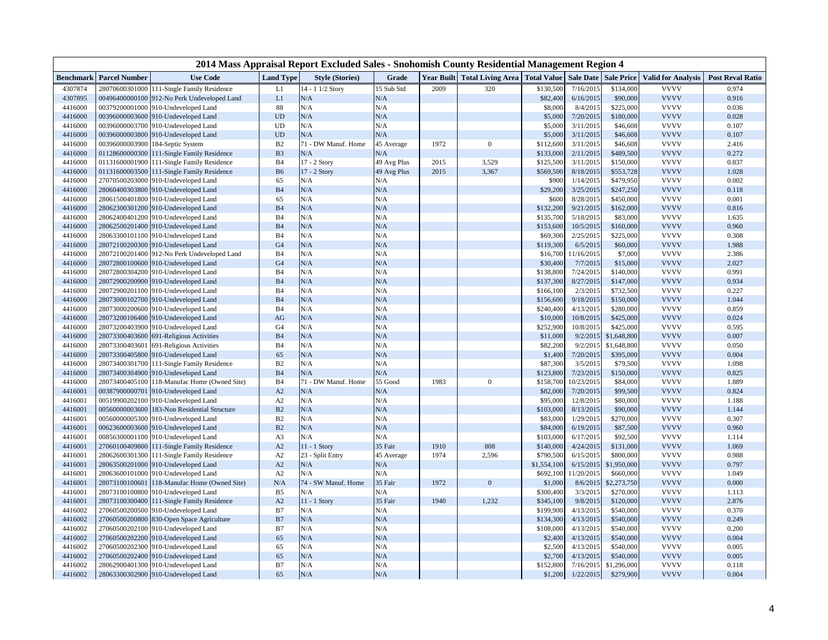|           | 2014 Mass Appraisal Report Excluded Sales - Snohomish County Residential Management Region 4 |                                              |                  |                        |             |      |                                                          |             |            |                   |                           |                         |  |  |
|-----------|----------------------------------------------------------------------------------------------|----------------------------------------------|------------------|------------------------|-------------|------|----------------------------------------------------------|-------------|------------|-------------------|---------------------------|-------------------------|--|--|
| Benchmark | <b>Parcel Number</b>                                                                         | <b>Use Code</b>                              | <b>Land Type</b> | <b>Style (Stories)</b> | Grade       |      | Year Built   Total Living Area   Total Value   Sale Date |             |            | <b>Sale Price</b> | <b>Valid for Analysis</b> | <b>Post Reval Ratio</b> |  |  |
| 4307874   |                                                                                              | 28070600301000 111-Single Family Residence   | L1               | 14 - 1 1/2 Story       | 15 Sub Std  | 2009 | 320                                                      | \$130,500   | 7/16/2015  | \$134,000         | <b>VVVV</b>               | 0.974                   |  |  |
| 4307895   |                                                                                              | 00496400000100 912-No Perk Undeveloped Land  | L1               | N/A                    | $\rm N/A$   |      |                                                          | \$82,400    | 6/16/2015  | \$90,000          | <b>VVVV</b>               | 0.916                   |  |  |
| 4416000   |                                                                                              | 00379200001000 910-Undeveloped Land          | 88               | N/A                    | N/A         |      |                                                          | \$8,000     | 8/4/2015   | \$225,000         | <b>VVVV</b>               | 0.036                   |  |  |
| 4416000   |                                                                                              | 00396000003600 910-Undeveloped Land          | <b>UD</b>        | N/A                    | N/A         |      |                                                          | \$5,000     | 7/20/2015  | \$180,000         | <b>VVVV</b>               | 0.028                   |  |  |
| 4416000   |                                                                                              | 00396000003700 910-Undeveloped Land          | UD               | N/A                    | N/A         |      |                                                          | \$5,000     | 3/11/2015  | \$46,608          | <b>VVVV</b>               | 0.107                   |  |  |
| 4416000   |                                                                                              | 00396000003800 910-Undeveloped Land          | <b>UD</b>        | N/A                    | N/A         |      |                                                          | \$5,000     | 3/11/2015  | \$46,608          | <b>VVVV</b>               | 0.107                   |  |  |
| 4416000   |                                                                                              | 00396000003900 184-Septic System             | B <sub>2</sub>   | 71 - DW Manuf. Home    | 45 Average  | 1972 | $\Omega$                                                 | \$112,600   | 3/11/2015  | \$46,608          | <b>VVVV</b>               | 2.416                   |  |  |
| 4416000   |                                                                                              | 01128600000300 111-Single Family Residence   | B <sub>3</sub>   | N/A                    | N/A         |      |                                                          | \$133,000   | 2/11/2015  | \$489,500         | <b>VVVV</b>               | 0.272                   |  |  |
| 4416000   |                                                                                              | 01131600001900 111-Single Family Residence   | B <sub>4</sub>   | 17 - 2 Story           | 49 Avg Plus | 2015 | 3,529                                                    | \$125,500   | 3/11/2015  | \$150,000         | <b>VVVV</b>               | 0.837                   |  |  |
| 4416000   |                                                                                              | 01131600003500 111-Single Family Residence   | <b>B6</b>        | 17 - 2 Story           | 49 Avg Plus | 2015 | 3,367                                                    | \$569,500   | 8/18/2015  | \$553,728         | <b>VVVV</b>               | 1.028                   |  |  |
| 4416000   |                                                                                              | 27070500203000 910-Undeveloped Land          | 65               | N/A                    | N/A         |      |                                                          | \$900       | 1/14/2015  | \$479,950         | <b>VVVV</b>               | 0.002                   |  |  |
| 4416000   |                                                                                              | 28060400303800 910-Undeveloped Land          | <b>B4</b>        | N/A                    | N/A         |      |                                                          | \$29,200    | 3/25/2015  | \$247,250         | <b>VVVV</b>               | 0.118                   |  |  |
| 4416000   |                                                                                              | 28061500401800 910-Undeveloped Land          | 65               | N/A                    | N/A         |      |                                                          | \$600       | 8/28/2015  | \$450,000         | <b>VVVV</b>               | 0.001                   |  |  |
| 4416000   |                                                                                              | 28062300301200 910-Undeveloped Land          | B <sub>4</sub>   | N/A                    | N/A         |      |                                                          | \$132,200   | 9/21/2015  | \$162,000         | <b>VVVV</b>               | 0.816                   |  |  |
| 4416000   |                                                                                              | 28062400401200 910-Undeveloped Land          | <b>B4</b>        | N/A                    | N/A         |      |                                                          | \$135,700   | 5/18/2015  | \$83,000          | <b>VVVV</b>               | 1.635                   |  |  |
| 4416000   |                                                                                              | 28062500201400 910-Undeveloped Land          | B <sub>4</sub>   | N/A                    | N/A         |      |                                                          | \$153,600   | 10/5/2015  | \$160,000         | <b>VVVV</b>               | 0.960                   |  |  |
| 4416000   |                                                                                              | 28063300101100 910-Undeveloped Land          | B <sub>4</sub>   | N/A                    | N/A         |      |                                                          | \$69,300    | 2/25/2015  | \$225,000         | <b>VVVV</b>               | 0.308                   |  |  |
| 4416000   |                                                                                              | 28072100200300 910-Undeveloped Land          | G <sub>4</sub>   | N/A                    | N/A         |      |                                                          | \$119,300   | 6/5/2015   | \$60,000          | <b>VVVV</b>               | 1.988                   |  |  |
| 4416000   |                                                                                              | 28072100201400 912-No Perk Undeveloped Land  | <b>B4</b>        | N/A                    | N/A         |      |                                                          | \$16,700    | 11/16/2015 | \$7,000           | <b>VVVV</b>               | 2.386                   |  |  |
| 4416000   |                                                                                              | 28072800100600 910-Undeveloped Land          | G <sub>4</sub>   | N/A                    | N/A         |      |                                                          | \$30,400    | 7/7/2015   | \$15,000          | <b>VVVV</b>               | 2.027                   |  |  |
| 4416000   |                                                                                              | 28072800304200 910-Undeveloped Land          | <b>B4</b>        | N/A                    | N/A         |      |                                                          | \$138,800   | 7/24/2015  | \$140,000         | <b>VVVV</b>               | 0.991                   |  |  |
| 4416000   |                                                                                              | 28072900200900 910-Undeveloped Land          | B <sub>4</sub>   | N/A                    | N/A         |      |                                                          | \$137,300   | 8/27/2015  | \$147,000         | <b>VVVV</b>               | 0.934                   |  |  |
| 4416000   |                                                                                              | 28072900201100 910-Undeveloped Land          | <b>B4</b>        | N/A                    | N/A         |      |                                                          | \$166,100   | 2/3/2015   | \$732,500         | <b>VVVV</b>               | 0.227                   |  |  |
| 4416000   |                                                                                              | 28073000102700 910-Undeveloped Land          | B <sub>4</sub>   | N/A                    | $\rm N/A$   |      |                                                          | \$156,600   | 9/18/2015  | \$150,000         | <b>VVVV</b>               | 1.044                   |  |  |
| 4416000   |                                                                                              | 28073000200600 910-Undeveloped Land          | <b>B4</b>        | N/A                    | N/A         |      |                                                          | \$240,400   | 4/13/2015  | \$280,000         | <b>VVVV</b>               | 0.859                   |  |  |
| 4416000   |                                                                                              | 28073200106400 910-Undeveloped Land          | AG               | N/A                    | N/A         |      |                                                          | \$10,000    | 10/8/2015  | \$425,000         | <b>VVVV</b>               | 0.024                   |  |  |
| 4416000   |                                                                                              | 28073200403900 910-Undeveloped Land          | G <sub>4</sub>   | N/A                    | N/A         |      |                                                          | \$252,900   | 10/8/2015  | \$425,000         | <b>VVVV</b>               | 0.595                   |  |  |
| 4416000   |                                                                                              | 28073300403600 691-Religious Activities      | B <sub>4</sub>   | N/A                    | $\rm N/A$   |      |                                                          | \$11,000    | 9/2/2015   | \$1,648,800       | <b>VVVV</b>               | 0.007                   |  |  |
| 4416000   | 28073300403601                                                                               | 691-Religious Activities                     | <b>B4</b>        | N/A                    | N/A         |      |                                                          | \$82,200    | 9/2/2015   | \$1,648,800       | <b>VVVV</b>               | 0.050                   |  |  |
| 4416000   |                                                                                              | 28073300405800 910-Undeveloped Land          | 65               | N/A                    | N/A         |      |                                                          | \$1,400     | 7/20/2015  | \$395,000         | <b>VVVV</b>               | 0.004                   |  |  |
| 4416000   |                                                                                              | 28073400301700 111-Single Family Residence   | B <sub>2</sub>   | N/A                    | N/A         |      |                                                          | \$87,300    | 3/5/2015   | \$79,500          | <b>VVVV</b>               | 1.098                   |  |  |
| 4416000   |                                                                                              | 28073400304900 910-Undeveloped Land          | B <sub>4</sub>   | N/A                    | N/A         |      |                                                          | \$123,800   | 7/23/2015  | \$150,000         | <b>VVVV</b>               | 0.825                   |  |  |
| 4416000   |                                                                                              | 28073400405100 118-Manufac Home (Owned Site) | <b>B4</b>        | 71 - DW Manuf. Home    | 55 Good     | 1983 | $\Omega$                                                 | \$158,700   | 10/23/2015 | \$84,000          | <b>VVVV</b>               | 1.889                   |  |  |
| 4416001   | 00387900000701                                                                               | 910-Undeveloped Land                         | A2               | N/A                    | N/A         |      |                                                          | \$82,000    | 7/20/2015  | \$99,500          | <b>VVVV</b>               | 0.824                   |  |  |
| 4416001   |                                                                                              | 00519900202100 910-Undeveloped Land          | A <sub>2</sub>   | N/A                    | N/A         |      |                                                          | \$95,000    | 12/8/2015  | \$80,000          | <b>VVVV</b>               | 1.188                   |  |  |
| 4416001   | 00560000003600                                                                               | 183-Non Residential Structure                | B2               | N/A                    | N/A         |      |                                                          | \$103,000   | 8/13/2015  | \$90,000          | <b>VVVV</b>               | 1.144                   |  |  |
| 4416001   |                                                                                              | 00560000005300 910-Undeveloped Land          | B2               | N/A                    | N/A         |      |                                                          | \$83,000    | 1/29/2015  | \$270,000         | <b>VVVV</b>               | 0.307                   |  |  |
| 4416001   |                                                                                              | 00623600003600 910-Undeveloped Land          | B2               | N/A                    | $\rm N/A$   |      |                                                          | \$84,000    | 6/19/2015  | \$87,500          | <b>VVVV</b>               | 0.960                   |  |  |
| 4416001   |                                                                                              | 00856300001100 910-Undeveloped Land          | A <sub>3</sub>   | N/A                    | N/A         |      |                                                          | \$103,000   | 6/17/2015  | \$92,500          | <b>VVVV</b>               | 1.114                   |  |  |
| 4416001   |                                                                                              | 27060100409800 111-Single Family Residence   | A2               | $11 - 1$ Story         | 35 Fair     | 1910 | 808                                                      | \$140,000   | 4/24/2015  | \$131,000         | <b>VVVV</b>               | 1.069                   |  |  |
| 4416001   |                                                                                              | 28062600301300 111-Single Family Residence   | A2               | 23 - Split Entry       | 45 Average  | 1974 | 2,596                                                    | \$790,500   | 6/15/2015  | \$800,000         | <b>VVVV</b>               | 0.988                   |  |  |
| 4416001   |                                                                                              | 28063500201000 910-Undeveloped Land          | A2               | N/A                    | N/A         |      |                                                          | \$1,554,100 | 6/15/2015  | \$1,950,000       | <b>VVVV</b>               | 0.797                   |  |  |
| 4416001   |                                                                                              | 28063600101000 910-Undeveloped Land          | A2               | N/A                    | N/A         |      |                                                          | \$692,100   | 11/20/2015 | \$660,000         | <b>VVVV</b>               | 1.049                   |  |  |
| 4416001   | 28073100100601                                                                               | 118-Manufac Home (Owned Site)                | N/A              | 74 - SW Manuf. Home    | 35 Fair     | 1972 | $\Omega$                                                 | \$1,000     | 8/6/2015   | \$2,273,750       | <b>VVVV</b>               | 0.000                   |  |  |
| 4416001   |                                                                                              | 28073100100800 910-Undeveloped Land          | B <sub>5</sub>   | N/A                    | N/A         |      |                                                          | \$300,400   | 3/3/2015   | \$270,000         | <b>VVVV</b>               | 1.113                   |  |  |
| 4416001   |                                                                                              | 28073100300400 111-Single Family Residence   | A2               | $11 - 1$ Story         | 35 Fair     | 1940 | 1,232                                                    | \$345,100   | 9/8/2015   | \$120,000         | <b>VVVV</b>               | 2.876                   |  |  |
| 4416002   |                                                                                              | 27060500200500 910-Undeveloped Land          | B7               | N/A                    | N/A         |      |                                                          | \$199,900   | 4/13/2015  | \$540,000         | <b>VVVV</b>               | 0.370                   |  |  |
| 4416002   |                                                                                              | 27060500200800 830-Open Space Agriculture    | B7               | N/A                    | $\rm N/A$   |      |                                                          | \$134,300   | 4/13/2015  | \$540,000         | <b>VVVV</b>               | 0.249                   |  |  |
| 4416002   |                                                                                              | 27060500202100 910-Undeveloped Land          | B7               | N/A                    | N/A         |      |                                                          | \$108,000   | 4/13/2015  | \$540,000         | <b>VVVV</b>               | 0.200                   |  |  |
| 4416002   |                                                                                              | 27060500202200 910-Undeveloped Land          | 65               | N/A                    | N/A         |      |                                                          | \$2,400     | 4/13/2015  | \$540,000         | <b>VVVV</b>               | 0.004                   |  |  |
| 4416002   |                                                                                              | 27060500202300 910-Undeveloped Land          | 65               | N/A                    | N/A         |      |                                                          | \$2,500     | 4/13/2015  | \$540,000         | <b>VVVV</b>               | 0.005                   |  |  |
| 4416002   |                                                                                              | 27060500202400 910-Undeveloped Land          | 65               | N/A                    | N/A         |      |                                                          | \$2,700     | 4/13/2015  | \$540,000         | <b>VVVV</b>               | 0.005                   |  |  |
| 4416002   |                                                                                              | 28062900401300 910-Undeveloped Land          | B7               | N/A                    | N/A         |      |                                                          | \$152,800   | 7/16/2015  | \$1,296,000       | <b>VVVV</b>               | 0.118                   |  |  |
| 4416002   |                                                                                              | 28063300302900 910-Undeveloped Land          | 65               | N/A                    | N/A         |      |                                                          | \$1,200     | 1/22/2015  | \$279,900         | <b>VVVV</b>               | 0.004                   |  |  |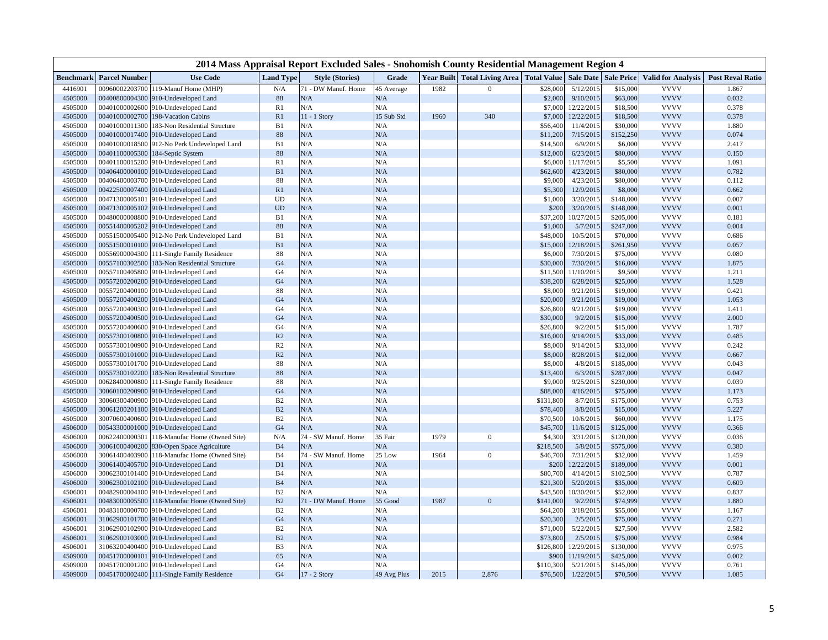|                  |                      |                                              |                  | 2014 Mass Appraisal Report Excluded Sales - Snohomish County Residential Management Region 4 |             |      |                                                          |           |            |                   |                           |                         |
|------------------|----------------------|----------------------------------------------|------------------|----------------------------------------------------------------------------------------------|-------------|------|----------------------------------------------------------|-----------|------------|-------------------|---------------------------|-------------------------|
| <b>Benchmark</b> | <b>Parcel Number</b> | <b>Use Code</b>                              | <b>Land Type</b> | <b>Style (Stories)</b>                                                                       | Grade       |      | Year Built   Total Living Area   Total Value   Sale Date |           |            | <b>Sale Price</b> | <b>Valid for Analysis</b> | <b>Post Reval Ratio</b> |
| 4416901          | 00960002203700       | 119-Manuf Home (MHP)                         | N/A              | 71 - DW Manuf. Home                                                                          | 45 Average  | 1982 | $\theta$                                                 | \$28,000  | 5/12/2015  | \$15,000          | <b>VVVV</b>               | 1.867                   |
| 4505000          | 00400800004300       | 910-Undeveloped Land                         | 88               | N/A                                                                                          | N/A         |      |                                                          | \$2,000   | 9/10/2015  | \$63,000          | <b>VVVV</b>               | 0.032                   |
| 4505000          | 00401000002600       | 910-Undeveloped Land                         | R1               | N/A                                                                                          | N/A         |      |                                                          | \$7,000   | 12/22/2015 | \$18,500          | <b>VVVV</b>               | 0.378                   |
| 4505000          | 00401000002700       | 198-Vacation Cabins                          | R1               | 11 - 1 Story                                                                                 | 15 Sub Std  | 1960 | 340                                                      | \$7,000   | 12/22/2015 | \$18,500          | <b>VVVV</b>               | 0.378                   |
| 4505000          | 00401000011300       | 183-Non Residential Structure                | B1               | N/A                                                                                          | N/A         |      |                                                          | \$56,400  | 11/4/2015  | \$30,000          | <b>VVVV</b>               | 1.880                   |
| 4505000          | 00401000017400       | 910-Undeveloped Land                         | 88               | N/A                                                                                          | N/A         |      |                                                          | \$11,200  | 7/15/2015  | \$152,250         | <b>VVVV</b>               | 0.074                   |
| 4505000          | 00401000018500       | 912-No Perk Undeveloped Land                 | B1               | N/A                                                                                          | N/A         |      |                                                          | \$14,500  | 6/9/2015   | \$6,000           | <b>VVVV</b>               | 2.417                   |
| 4505000          | 00401100005300       | 184-Septic System                            | 88               | N/A                                                                                          | N/A         |      |                                                          | \$12,000  | 6/23/2015  | \$80,000          | <b>VVVV</b>               | 0.150                   |
| 4505000          |                      | 00401100015200 910-Undeveloped Land          | R <sub>1</sub>   | N/A                                                                                          | N/A         |      |                                                          | \$6,000   | 11/17/2015 | \$5,500           | <b>VVVV</b>               | 1.091                   |
| 4505000          |                      | 00406400000100 910-Undeveloped Land          | B1               | N/A                                                                                          | N/A         |      |                                                          | \$62,600  | 4/23/2015  | \$80,000          | <b>VVVV</b>               | 0.782                   |
| 4505000          |                      | 00406400003700 910-Undeveloped Land          | 88               | N/A                                                                                          | N/A         |      |                                                          | \$9,000   | 4/23/2015  | \$80,000          | <b>VVVV</b>               | 0.112                   |
| 4505000          |                      | 00422500007400 910-Undeveloped Land          | R1               | N/A                                                                                          | N/A         |      |                                                          | \$5,300   | 12/9/2015  | \$8,000           | <b>VVVV</b>               | 0.662                   |
| 4505000          | 00471300005101       | 910-Undeveloped Land                         | <b>UD</b>        | N/A                                                                                          | N/A         |      |                                                          | \$1,000   | 3/20/2015  | \$148,000         | <b>VVVV</b>               | 0.007                   |
| 4505000          |                      | 00471300005102 910-Undeveloped Land          | <b>UD</b>        | N/A                                                                                          | N/A         |      |                                                          | \$200     | 3/20/2015  | \$148,000         | <b>VVVV</b>               | 0.001                   |
| 4505000          |                      | 00480000008800 910-Undeveloped Land          | B1               | N/A                                                                                          | N/A         |      |                                                          | \$37,200  | 10/27/2015 | \$205,000         | <b>VVVV</b>               | 0.181                   |
| 4505000          |                      | 00551400005202 910-Undeveloped Land          | 88               | N/A                                                                                          | N/A         |      |                                                          | \$1,000   | 5/7/2015   | \$247,000         | <b>VVVV</b>               | 0.004                   |
| 4505000          |                      | 00551500005400 912-No Perk Undeveloped Land  | B1               | N/A                                                                                          | N/A         |      |                                                          | \$48,000  | 10/5/2015  | \$70,000          | <b>VVVV</b>               | 0.686                   |
| 4505000          |                      | 00551500010100 910-Undeveloped Land          | B1               | N/A                                                                                          | N/A         |      |                                                          | \$15,000  | 12/18/2015 | \$261,950         | <b>VVVV</b>               | 0.057                   |
| 4505000          |                      | 00556900004300 111-Single Family Residence   | 88               | N/A                                                                                          | N/A         |      |                                                          | \$6,000   | 7/30/2015  | \$75,000          | <b>VVVV</b>               | 0.080                   |
| 4505000          |                      | 00557100302500 183-Non Residential Structure | G <sub>4</sub>   | N/A                                                                                          | N/A         |      |                                                          | \$30,000  | 7/30/2015  | \$16,000          | <b>VVVV</b>               | 1.875                   |
| 4505000          | 00557100405800       | 910-Undeveloped Land                         | G <sub>4</sub>   | N/A                                                                                          | N/A         |      |                                                          | \$11,500  | 11/10/2015 | \$9,500           | <b>VVVV</b>               | 1.211                   |
| 4505000          |                      | 00557200200200 910-Undeveloped Land          | G <sub>4</sub>   | N/A                                                                                          | N/A         |      |                                                          | \$38,200  | 6/28/2015  | \$25,000          | <b>VVVV</b>               | 1.528                   |
| 4505000          |                      | 00557200400100 910-Undeveloped Land          | 88               | N/A                                                                                          | N/A         |      |                                                          | \$8,000   | 9/21/2015  | \$19,000          | <b>VVVV</b>               | 0.421                   |
| 4505000          |                      | 00557200400200 910-Undeveloped Land          | G <sub>4</sub>   | N/A                                                                                          | N/A         |      |                                                          | \$20,000  | 9/21/2015  | \$19,000          | <b>VVVV</b>               | 1.053                   |
| 4505000          |                      | 00557200400300 910-Undeveloped Land          | G <sub>4</sub>   | N/A                                                                                          | N/A         |      |                                                          | \$26,800  | 9/21/2015  | \$19,000          | <b>VVVV</b>               | 1.411                   |
| 4505000          |                      | 00557200400500 910-Undeveloped Land          | G <sub>4</sub>   | N/A                                                                                          | N/A         |      |                                                          | \$30,000  | 9/2/2015   | \$15,000          | <b>VVVV</b>               | 2.000                   |
| 4505000          | 00557200400600       | 910-Undeveloped Land                         | G <sub>4</sub>   | N/A                                                                                          | N/A         |      |                                                          | \$26,800  | 9/2/2015   | \$15,000          | <b>VVVV</b>               | 1.787                   |
| 4505000          |                      | 00557300100800 910-Undeveloped Land          | R <sub>2</sub>   | N/A                                                                                          | N/A         |      |                                                          | \$16,000  | 9/14/2015  | \$33,000          | <b>VVVV</b>               | 0.485                   |
| 4505000          |                      | 00557300100900 910-Undeveloped Land          | R <sub>2</sub>   | N/A                                                                                          | N/A         |      |                                                          | \$8,000   | 9/14/2015  | \$33,000          | <b>VVVV</b>               | 0.242                   |
| 4505000          |                      | 00557300101000 910-Undeveloped Land          | R <sub>2</sub>   | N/A                                                                                          | N/A         |      |                                                          | \$8,000   | 8/28/2015  | \$12,000          | <b>VVVV</b>               | 0.667                   |
| 4505000          |                      | 00557300101700 910-Undeveloped Land          | 88               | N/A                                                                                          | N/A         |      |                                                          | \$8,000   | 4/8/2015   | \$185,000         | <b>VVVV</b>               | 0.043                   |
| 4505000          |                      | 00557300102200 183-Non Residential Structure | 88               | N/A                                                                                          | N/A         |      |                                                          | \$13,400  | 6/3/2015   | \$287,000         | <b>VVVV</b>               | 0.047                   |
| 4505000          | 00628400000800       | 111-Single Family Residence                  | 88               | N/A                                                                                          | N/A         |      |                                                          | \$9,000   | 9/25/2015  | \$230,000         | <b>VVVV</b>               | 0.039                   |
| 4505000          |                      | 30060100200900 910-Undeveloped Land          | G <sub>4</sub>   | N/A                                                                                          | N/A         |      |                                                          | \$88,000  | 4/16/2015  | \$75,000          | <b>VVVV</b>               | 1.173                   |
| 4505000          |                      | 30060300400900 910-Undeveloped Land          | B <sub>2</sub>   | N/A                                                                                          | N/A         |      |                                                          | \$131,800 | 8/7/2015   | \$175,000         | <b>VVVV</b>               | 0.753                   |
| 4505000          |                      | 30061200201100 910-Undeveloped Land          | B2               | N/A                                                                                          | N/A         |      |                                                          | \$78,400  | 8/8/2015   | \$15,000          | <b>VVVV</b>               | 5.227                   |
| 4505000          |                      | 30070600400600 910-Undeveloped Land          | B <sub>2</sub>   | N/A                                                                                          | N/A         |      |                                                          | \$70,500  | 10/6/2015  | \$60,000          | <b>VVVV</b>               | 1.175                   |
| 4506000          |                      | 00543300001000 910-Undeveloped Land          | G <sub>4</sub>   | N/A                                                                                          | N/A         |      |                                                          | \$45,700  | 11/6/2015  | \$125,000         | <b>VVVV</b>               | 0.366                   |
| 4506000          | 00622400000301       | 118-Manufac Home (Owned Site)                | N/A              | 74 - SW Manuf. Home                                                                          | 35 Fair     | 1979 | $\Omega$                                                 | \$4,300   | 3/31/2015  | \$120,000         | <b>VVVV</b>               | 0.036                   |
| 4506000          |                      | 30061000400200 830-Open Space Agriculture    | <b>B4</b>        | N/A                                                                                          | N/A         |      |                                                          | \$218,500 | 5/8/2015   | \$575,000         | <b>VVVV</b>               | 0.380                   |
| 4506000          | 30061400403900       | 118-Manufac Home (Owned Site)                | <b>B4</b>        | 74 - SW Manuf. Home                                                                          | 25 Low      | 1964 | $\Omega$                                                 | \$46,700  | 7/31/2015  | \$32,000          | <b>VVVV</b>               | 1.459                   |
| 4506000          | 30061400405700       | 910-Undeveloped Land                         | D <sub>1</sub>   | N/A                                                                                          | N/A         |      |                                                          | \$200     | 12/22/2015 | \$189,000         | <b>VVVV</b>               | 0.001                   |
| 4506000          | 30062300101400       | 910-Undeveloped Land                         | B <sub>4</sub>   | N/A                                                                                          | N/A         |      |                                                          | \$80,700  | 4/14/2015  | \$102,500         | <b>VVVV</b>               | 0.787                   |
| 4506000          |                      | 30062300102100 910-Undeveloped Land          | <b>B4</b>        | N/A                                                                                          | N/A         |      |                                                          | \$21,300  | 5/20/2015  | \$35,000          | <b>VVVV</b>               | 0.609                   |
| 4506001          |                      | 00482900004100 910-Undeveloped Land          | B2               | N/A                                                                                          | N/A         |      |                                                          | \$43,500  | 10/30/2015 | \$52,000          | <b>VVVV</b>               | 0.837                   |
| 4506001          |                      | 00483000005500 118-Manufac Home (Owned Site) | B2               | 71 - DW Manuf. Home                                                                          | 55 Good     | 1987 | $\overline{0}$                                           | \$141,000 | 9/2/2015   | \$74,999          | <b>VVVV</b>               | 1.880                   |
| 4506001          |                      | 00483100000700 910-Undeveloped Land          | B2               | N/A                                                                                          | N/A         |      |                                                          | \$64,200  | 3/18/2015  | \$55,000          | <b>VVVV</b>               | 1.167                   |
| 4506001          |                      | 31062900101700 910-Undeveloped Land          | G <sub>4</sub>   | N/A                                                                                          | N/A         |      |                                                          | \$20,300  | 2/5/2015   | \$75,000          | <b>VVVV</b>               | 0.271                   |
| 4506001          |                      | 31062900102900 910-Undeveloped Land          | B <sub>2</sub>   | N/A                                                                                          | N/A         |      |                                                          | \$71,000  | 5/22/2015  | \$27,500          | <b>VVVV</b>               | 2.582                   |
| 4506001          |                      | 31062900103000 910-Undeveloped Land          | B <sub>2</sub>   | N/A                                                                                          | N/A         |      |                                                          | \$73,800  | 2/5/2015   | \$75,000          | <b>VVVV</b>               | 0.984                   |
| 4506001          |                      | 31063200400400 910-Undeveloped Land          | B <sub>3</sub>   | N/A                                                                                          | N/A         |      |                                                          | \$126,800 | 12/29/2015 | \$130,000         | <b>VVVV</b>               | 0.975                   |
| 4509000          | 00451700000101       | 910-Undeveloped Land                         | 65               | N/A                                                                                          | N/A         |      |                                                          | \$900     | 11/19/2015 | \$425,000         | <b>VVVV</b>               | 0.002                   |
| 4509000          |                      | 00451700001200 910-Undeveloped Land          | G <sub>4</sub>   | N/A                                                                                          | N/A         |      |                                                          | \$110,300 | 5/21/2015  | \$145,000         | <b>VVVV</b>               | 0.761                   |
| 4509000          |                      | 00451700002400 111-Single Family Residence   | G <sub>4</sub>   | 17 - 2 Story                                                                                 | 49 Avg Plus | 2015 | 2,876                                                    | \$76,500  | 1/22/2015  | \$70,500          | <b>VVVV</b>               | 1.085                   |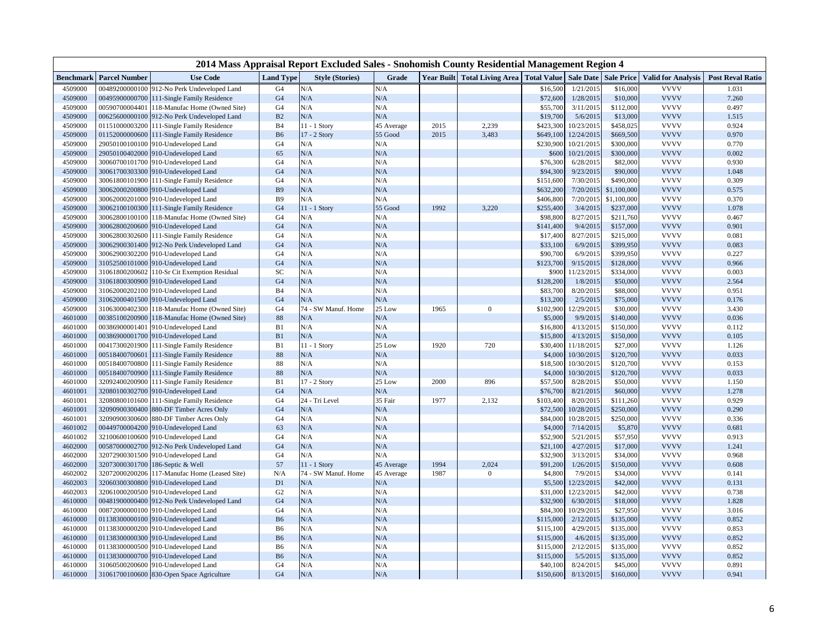|                    |                                                                                   |                 |                  | 2014 Mass Appraisal Report Excluded Sales - Snohomish County Residential Management Region 4 |               |      |                                                                       |                     |                          |                        |                            |                         |
|--------------------|-----------------------------------------------------------------------------------|-----------------|------------------|----------------------------------------------------------------------------------------------|---------------|------|-----------------------------------------------------------------------|---------------------|--------------------------|------------------------|----------------------------|-------------------------|
| Benchmark          | <b>Parcel Number</b>                                                              | <b>Use Code</b> | <b>Land Type</b> | <b>Style (Stories)</b>                                                                       | Grade         |      | Year Built   Total Living Area   Total Value   Sale Date   Sale Price |                     |                          |                        | <b>Valid for Analysis</b>  | <b>Post Reval Ratio</b> |
| 4509000            | 00489200000100 912-No Perk Undeveloped Land                                       |                 | G <sub>4</sub>   | N/A                                                                                          | N/A           |      |                                                                       | \$16,500            | 1/21/2015                | \$16,000               | <b>VVVV</b>                | 1.031                   |
| 4509000            | 00495900000700 111-Single Family Residence                                        |                 | G <sub>4</sub>   | N/A                                                                                          | N/A           |      |                                                                       | \$72,600            | 1/28/2015                | \$10,000               | <b>VVVV</b>                | 7.260                   |
| 4509000            | 00590700004401 118-Manufac Home (Owned Site)                                      |                 | G <sub>4</sub>   | N/A                                                                                          | N/A           |      |                                                                       | \$55,700            | 3/11/2015                | \$112,000              | <b>VVVV</b>                | 0.497                   |
| 4509000            | 00625600000100 912-No Perk Undeveloped Land                                       |                 | B <sub>2</sub>   | N/A                                                                                          | N/A           |      |                                                                       | \$19,700            | 5/6/2015                 | \$13,000               | <b>VVVV</b>                | 1.515                   |
| 4509000            | 01151000003200 111-Single Family Residence                                        |                 | B <sub>4</sub>   | $11 - 1$ Story                                                                               | 45 Average    | 2015 | 2,239                                                                 | \$423,300           | 10/23/2015               | \$458,025              | <b>VVVV</b>                | 0.924                   |
| 4509000            | 01152000000600 111-Single Family Residence                                        |                 | <b>B6</b>        | 17 - 2 Story                                                                                 | 55 Good       | 2015 | 3,483                                                                 | \$649,100           | 12/24/2015               | \$669,500              | <b>VVVV</b>                | 0.970                   |
| 4509000            | 29050100100100 910-Undeveloped Land                                               |                 | G <sub>4</sub>   | N/A                                                                                          | N/A           |      |                                                                       | \$230,900           | 10/21/2015               | \$300,000              | <b>VVVV</b>                | 0.770                   |
| 4509000            | 29050100402000 910-Undeveloped Land                                               |                 | 65               | N/A                                                                                          | N/A           |      |                                                                       | \$600               | 10/21/2015               | \$300,000              | <b>VVVV</b>                | 0.002                   |
| 4509000            | 30060700101700 910-Undeveloped Land                                               |                 | G <sub>4</sub>   | N/A                                                                                          | N/A           |      |                                                                       | \$76,300            | 6/28/2015                | \$82,000               | <b>VVVV</b>                | 0.930                   |
| 4509000            | 30061700303300 910-Undeveloped Land                                               |                 | G <sub>4</sub>   | N/A                                                                                          | N/A           |      |                                                                       | \$94,300            | 9/23/2015                | \$90,000               | <b>VVVV</b>                | 1.048                   |
| 4509000            | 30061800101900 111-Single Family Residence                                        |                 | G4               | N/A                                                                                          | N/A           |      |                                                                       | \$151,600           | 7/30/2015                | \$490,000              | <b>VVVV</b>                | 0.309                   |
| 4509000            | 30062000200800 910-Undeveloped Land                                               |                 | B <sub>9</sub>   | N/A                                                                                          | N/A           |      |                                                                       | \$632,200           | 7/20/2015                | \$1,100,000            | <b>VVVV</b>                | 0.575                   |
| 4509000            | 30062000201000 910-Undeveloped Land                                               |                 | B <sub>9</sub>   | N/A                                                                                          | N/A           |      |                                                                       | \$406,800           | 7/20/2015                | \$1,100,000            | <b>VVVV</b>                | 0.370                   |
| 4509000            | 30062100100300 111-Single Family Residence                                        |                 | G <sub>4</sub>   | 11 - 1 Story                                                                                 | 55 Good       | 1992 | 3,220                                                                 | \$255,400           | 3/4/2015                 | \$237,000              | <b>VVVV</b>                | 1.078                   |
| 4509000            | 30062800100100 118-Manufac Home (Owned Site)                                      |                 | G <sub>4</sub>   | N/A                                                                                          | N/A           |      |                                                                       | \$98,800            | 8/27/2015                | \$211,760              | <b>VVVV</b>                | 0.467                   |
| 4509000            | 30062800200600 910-Undeveloped Land                                               |                 | G <sub>4</sub>   | N/A                                                                                          | N/A           |      |                                                                       | \$141,400           | 9/4/2015                 | \$157,000              | <b>VVVV</b>                | 0.901                   |
| 4509000            | 30062800302600 111-Single Family Residence                                        |                 | G <sub>4</sub>   | N/A                                                                                          | N/A           |      |                                                                       | \$17,400            | 8/27/2015                | \$215,000              | <b>VVVV</b>                | 0.081                   |
| 4509000            | 30062900301400 912-No Perk Undeveloped Land                                       |                 | G <sub>4</sub>   | N/A                                                                                          | N/A           |      |                                                                       | \$33,100            | 6/9/2015                 | \$399.950              | <b>VVVV</b>                | 0.083                   |
| 4509000            | 30062900302200 910-Undeveloped Land                                               |                 | G <sub>4</sub>   | N/A                                                                                          | N/A           |      |                                                                       | \$90,700            | 6/9/2015                 | \$399,950              | <b>VVVV</b>                | 0.227                   |
| 4509000            | 31052500101000 910-Undeveloped Land                                               |                 | G <sub>4</sub>   | N/A                                                                                          | N/A           |      |                                                                       | \$123,700           | 9/15/2015                | \$128,000              | <b>VVVV</b>                | 0.966                   |
| 4509000            | 31061800200602 110-Sr Cit Exemption Residual                                      |                 | SC               | N/A                                                                                          | N/A           |      |                                                                       | \$900               | 11/23/2015               | \$334,000              | <b>VVVV</b>                | 0.003                   |
| 4509000            | 31061800300900 910-Undeveloped Land                                               |                 | G <sub>4</sub>   | N/A                                                                                          | N/A           |      |                                                                       | \$128,200           | 1/8/2015                 | \$50,000               | <b>VVVV</b>                | 2.564                   |
| 4509000            | 31062000202100 910-Undeveloped Land                                               |                 | B <sub>4</sub>   | N/A                                                                                          | N/A           |      |                                                                       | \$83,700            | 8/20/2015                | \$88,000               | <b>VVVV</b>                | 0.951                   |
| 4509000            | 31062000401500 910-Undeveloped Land                                               |                 | G <sub>4</sub>   | N/A                                                                                          | N/A           |      |                                                                       | \$13,200            | 2/5/2015                 | \$75,000               | <b>VVVV</b>                | 0.176                   |
| 4509000            | 31063000402300 118-Manufac Home (Owned Site)                                      |                 | G <sub>4</sub>   | 74 - SW Manuf. Home                                                                          | 25 Low        | 1965 | $\mathbf{0}$                                                          | \$102,900           | 12/29/2015               | \$30,000               | <b>VVVV</b><br><b>VVVV</b> | 3.430                   |
| 4601000            | 00385100200900 118-Manufac Home (Owned Site)                                      |                 | 88               | N/A                                                                                          | N/A           |      |                                                                       | \$5,000             | 9/9/2015                 | \$140,000              |                            | 0.036                   |
| 4601000            | 00386900001401 910-Undeveloped Land                                               |                 | B1               | N/A                                                                                          | N/A           |      |                                                                       | \$16,800            | 4/13/2015                | \$150,000              | <b>VVVV</b>                | 0.112                   |
| 4601000            | 00386900001700 910-Undeveloped Land                                               |                 | B1               | N/A                                                                                          | N/A           |      |                                                                       | \$15,800            | 4/13/2015                | \$150,000              | <b>VVVV</b>                | 0.105                   |
| 4601000<br>4601000 | 00417300201900 111-Single Family Residence                                        |                 | B1<br>88         | 11 - 1 Story<br>N/A                                                                          | 25 Low<br>N/A | 1920 | 720                                                                   | \$30,400<br>\$4,000 | 11/18/2015<br>10/30/2015 | \$27,000<br>\$120,700  | <b>VVVV</b><br><b>VVVV</b> | 1.126<br>0.033          |
|                    | 00518400700601 111-Single Family Residence                                        |                 | 88               | N/A                                                                                          | N/A           |      |                                                                       |                     |                          |                        | <b>VVVV</b>                |                         |
| 4601000<br>4601000 | 00518400700800 111-Single Family Residence                                        |                 | 88               | N/A                                                                                          | N/A           |      |                                                                       | \$18,500            | 10/30/2015<br>10/30/2015 | \$120,700<br>\$120,700 | <b>VVVV</b>                | 0.153<br>0.033          |
| 4601000            | 00518400700900 111-Single Family Residence                                        |                 | B1               | 17 - 2 Story                                                                                 | 25 Low        | 2000 | 896                                                                   | \$4,000<br>\$57,500 | 8/28/2015                | \$50,000               | <b>VVVV</b>                | 1.150                   |
| 4601001            | 32092400200900 111-Single Family Residence<br>32080100302700 910-Undeveloped Land |                 | G <sub>4</sub>   | N/A                                                                                          | N/A           |      |                                                                       | \$76,700            | 8/21/2015                | \$60,000               | <b>VVVV</b>                | 1.278                   |
| 4601001            | 32080800101600 111-Single Family Residence                                        |                 | G <sub>4</sub>   | 24 - Tri Level                                                                               | 35 Fair       | 1977 | 2,132                                                                 | \$103,400           | 8/20/2015                | \$111,260              | <b>VVVV</b>                | 0.929                   |
| 4601001            | 32090900300400 880-DF Timber Acres Only                                           |                 | G <sub>4</sub>   | N/A                                                                                          | N/A           |      |                                                                       | \$72,500            | 10/28/2015               | \$250,000              | <b>VVVV</b>                | 0.290                   |
| 4601001            | 32090900300600 880-DF Timber Acres Only                                           |                 | G <sub>4</sub>   | N/A                                                                                          | N/A           |      |                                                                       | \$84,000            | 10/28/2015               | \$250,000              | <b>VVVV</b>                | 0.336                   |
| 4601002            | 00449700004200 910-Undeveloped Land                                               |                 | 63               | N/A                                                                                          | N/A           |      |                                                                       | \$4,000             | 7/14/2015                | \$5,870                | <b>VVVV</b>                | 0.681                   |
| 4601002            | 32100600100600 910-Undeveloped Land                                               |                 | G <sub>4</sub>   | N/A                                                                                          | N/A           |      |                                                                       | \$52,900            | 5/21/2015                | \$57,950               | <b>VVVV</b>                | 0.913                   |
| 4602000            | 00587000002700 912-No Perk Undeveloped Land                                       |                 | G <sub>4</sub>   | N/A                                                                                          | N/A           |      |                                                                       | \$21,100            | 4/27/2015                | \$17,000               | <b>VVVV</b>                | 1.241                   |
| 4602000            | 32072900301500 910-Undeveloped Land                                               |                 | G <sub>4</sub>   | N/A                                                                                          | N/A           |      |                                                                       | \$32,900            | 3/13/2015                | \$34,000               | <b>VVVV</b>                | 0.968                   |
| 4602000            | 32073000301700 186-Septic & Well                                                  |                 | 57               | 11 - 1 Story                                                                                 | 45 Average    | 1994 | 2,024                                                                 | \$91,200            | 1/26/2015                | \$150,000              | <b>VVVV</b>                | 0.608                   |
| 4602002            | 32072000200206 117-Manufac Home (Leased Site)                                     |                 | N/A              | 74 - SW Manuf. Home                                                                          | 45 Average    | 1987 | $\overline{0}$                                                        | \$4,800             | 7/9/2015                 | \$34,000               | <b>VVVV</b>                | 0.141                   |
| 4602003            | 32060300300800 910-Undeveloped Land                                               |                 | D <sub>1</sub>   | N/A                                                                                          | N/A           |      |                                                                       | \$5,500             | 12/23/2015               | \$42,000               | <b>VVVV</b>                | 0.131                   |
| 4602003            | 32061000200500 910-Undeveloped Land                                               |                 | G <sub>2</sub>   | N/A                                                                                          | N/A           |      |                                                                       | \$31,000            | 12/23/2015               | \$42,000               | <b>VVVV</b>                | 0.738                   |
| 4610000            | 00481900000400 912-No Perk Undeveloped Land                                       |                 | G <sub>4</sub>   | N/A                                                                                          | N/A           |      |                                                                       | \$32,900            | 6/30/2015                | \$18,000               | <b>VVVV</b>                | 1.828                   |
| 4610000            | 00872000000100 910-Undeveloped Land                                               |                 | G4               | N/A                                                                                          | N/A           |      |                                                                       | \$84,300            | 10/29/2015               | \$27,950               | <b>VVVV</b>                | 3.016                   |
| 4610000            | 01138300000100 910-Undeveloped Land                                               |                 | <b>B6</b>        | N/A                                                                                          | N/A           |      |                                                                       | \$115,000           | 2/12/2015                | \$135,000              | <b>VVVV</b>                | 0.852                   |
| 4610000            | 01138300000200 910-Undeveloped Land                                               |                 | B <sub>6</sub>   | N/A                                                                                          | N/A           |      |                                                                       | \$115,100           | 4/29/2015                | \$135,000              | <b>VVVV</b>                | 0.853                   |
| 4610000            | 01138300000300 910-Undeveloped Land                                               |                 | <b>B6</b>        | N/A                                                                                          | N/A           |      |                                                                       | \$115,000           | 4/6/2015                 | \$135,000              | <b>VVVV</b>                | 0.852                   |
| 4610000            | 01138300000500 910-Undeveloped Land                                               |                 | B <sub>6</sub>   | N/A                                                                                          | N/A           |      |                                                                       | \$115,000           | 2/12/2015                | \$135,000              | <b>VVVV</b>                | 0.852                   |
| 4610000            | 01138300000700 910-Undeveloped Land                                               |                 | <b>B6</b>        | N/A                                                                                          | N/A           |      |                                                                       | \$115,000           | 5/5/2015                 | \$135,000              | <b>VVVV</b>                | 0.852                   |
| 4610000            | 31060500200600 910-Undeveloped Land                                               |                 | G <sub>4</sub>   | N/A                                                                                          | N/A           |      |                                                                       | \$40,100            | 8/24/2015                | \$45,000               | <b>VVVV</b>                | 0.891                   |
| 4610000            | 31061700100600 830-Open Space Agriculture                                         |                 | G <sub>4</sub>   | N/A                                                                                          | $\rm N/A$     |      |                                                                       | \$150,600           | 8/13/2015                | \$160,000              | <b>VVVV</b>                | 0.941                   |
|                    |                                                                                   |                 |                  |                                                                                              |               |      |                                                                       |                     |                          |                        |                            |                         |